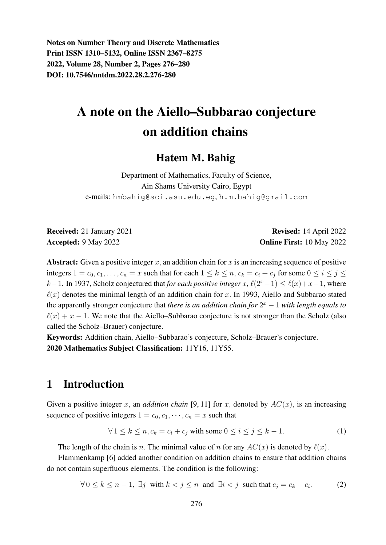Notes on Number Theory and Discrete Mathematics Print ISSN 1310–5132, Online ISSN 2367–8275 2022, Volume 28, Number 2, Pages 276–280 DOI: 10.7546/nntdm.2022.28.2.276-280

# A note on the Aiello–Subbarao conjecture on addition chains

#### Hatem M. Bahig

Department of Mathematics, Faculty of Science, Ain Shams University Cairo, Egypt e-mails: hmbahig@sci.asu.edu.eg, h.m.bahig@gmail.com

Received: 21 January 2021 **Revised: 14 April 2022** Accepted: 9 May 2022 **Online First:** 10 May 2022

Abstract: Given a positive integer x, an addition chain for x is an increasing sequence of positive integers  $1 = c_0, c_1, \ldots, c_n = x$  such that for each  $1 \le k \le n$ ,  $c_k = c_i + c_j$  for some  $0 \le i \le j \le n$  $k-1$ . In 1937, Scholz conjectured that *for each positive integer* x,  $\ell(2^x-1) \leq \ell(x)+x-1$ , where  $\ell(x)$  denotes the minimal length of an addition chain for x. In 1993, Aiello and Subbarao stated the apparently stronger conjecture that *there is an addition chain for*  $2^x - 1$  *with length equals to*  $\ell(x) + x - 1$ . We note that the Aiello–Subbarao conjecture is not stronger than the Scholz (also called the Scholz–Brauer) conjecture.

Keywords: Addition chain, Aiello–Subbarao's conjecture, Scholz–Brauer's conjecture. 2020 Mathematics Subject Classification: 11Y16, 11Y55.

# 1 Introduction

Given a positive integer x, an *addition chain* [9, 11] for x, denoted by  $AC(x)$ , is an increasing sequence of positive integers  $1 = c_0, c_1, \dots, c_n = x$  such that

$$
\forall 1 \le k \le n, c_k = c_i + c_j \text{ with some } 0 \le i \le j \le k - 1. \tag{1}
$$

The length of the chain is n. The minimal value of n for any  $AC(x)$  is denoted by  $\ell(x)$ .

Flammenkamp [6] added another condition on addition chains to ensure that addition chains do not contain superfluous elements. The condition is the following:

$$
\forall 0 \le k \le n-1, \exists j \text{ with } k < j \le n \text{ and } \exists i < j \text{ such that } c_j = c_k + c_i. \tag{2}
$$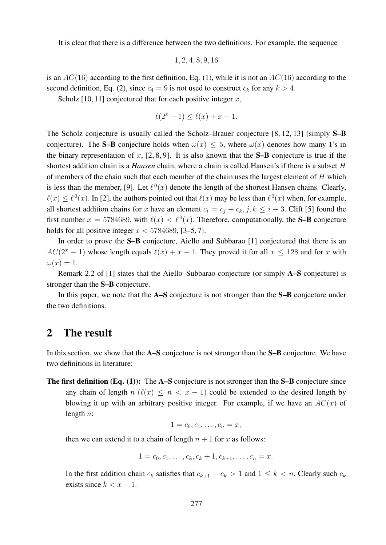It is clear that there is a difference between the two definitions. For example, the sequence

$$
1, 2, 4, 8, 9, 16
$$

is an  $AC(16)$  according to the first definition, Eq. (1), while it is not an  $AC(16)$  according to the second definition, Eq. (2), since  $c_4 = 9$  is not used to construct  $c_k$  for any  $k > 4$ .

Scholz [10, 11] conjectured that for each positive integer  $x$ ,

$$
\ell(2^x - 1) \le \ell(x) + x - 1.
$$

The Scholz conjecture is usually called the Scholz–Brauer conjecture [8, 12, 13] (simply **S–B** conjecture). The S–B conjecture holds when  $\omega(x) \le 5$ , where  $\omega(x)$  denotes how many 1's in the binary representation of x,  $[2, 8, 9]$ . It is also known that the **S–B** conjecture is true if the shortest addition chain is a *Hansen* chain, where a chain is called Hansen's if there is a subset H of members of the chain such that each member of the chain uses the largest element of  $H$  which is less than the member, [9]. Let  $\ell^0(x)$  denote the length of the shortest Hansen chains. Clearly,  $\ell(x) \leq \ell^0(x)$ . In [2], the authors pointed out that  $\ell(x)$  may be less than  $\ell^0(x)$  when, for example, all shortest addition chains for x have an element  $c_i = c_j + c_k$ ,  $j, k \leq i - 3$ . Clift [5] found the first number  $x = 5784689$ , with  $\ell(x) < \ell^{0}(x)$ . Therefore, computationally, the **S-B** conjecture holds for all positive integer  $x < 5784689$ , [3–5, 7].

In order to prove the S–B conjecture, Aiello and Subbarao [1] conjectured that there is an  $AC(2^x - 1)$  whose length equals  $\ell(x) + x - 1$ . They proved it for all  $x \le 128$  and for x with  $\omega(x) = 1.$ 

Remark 2.2 of [1] states that the Aiello–Subbarao conjecture (or simply A–S conjecture) is stronger than the S–B conjecture.

In this paper, we note that the A–S conjecture is not stronger than the S–B conjecture under the two definitions.

#### 2 The result

In this section, we show that the A–S conjecture is not stronger than the S–B conjecture. We have two definitions in literature:

The first definition (Eq. (1)): The A–S conjecture is not stronger than the S–B conjecture since any chain of length  $n$  ( $\ell(x) \leq n < x - 1$ ) could be extended to the desired length by blowing it up with an arbitrary positive integer. For example, if we have an  $AC(x)$  of length  $n$ :

$$
1=c_0,c_1,\ldots,c_n=x,
$$

then we can extend it to a chain of length  $n + 1$  for x as follows:

$$
1 = c_0, c_1, \ldots, c_k, c_k + 1, c_{k+1}, \ldots, c_n = x.
$$

In the first addition chain  $c_k$  satisfies that  $c_{k+1} - c_k > 1$  and  $1 \leq k < n$ . Clearly such  $c_k$ exists since  $k < x - 1$ .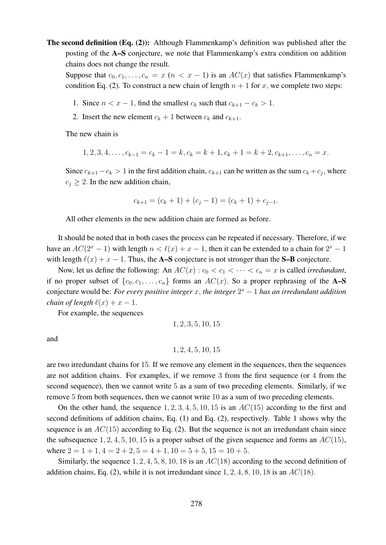The second definition (Eq. (2)): Although Flammenkamp's definition was published after the posting of the A–S conjecture, we note that Flammenkamp's extra condition on addition chains does not change the result.

Suppose that  $c_0, c_1, \ldots, c_n = x$   $(n < x - 1)$  is an  $AC(x)$  that satisfies Flammenkamp's condition Eq. (2). To construct a new chain of length  $n + 1$  for x, we complete two steps:

- 1. Since  $n < x 1$ , find the smallest  $c_k$  such that  $c_{k+1} c_k > 1$ .
- 2. Insert the new element  $c_k + 1$  between  $c_k$  and  $c_{k+1}$ .

The new chain is

$$
1, 2, 3, 4, \ldots, c_{k-1} = c_k - 1 = k, c_k = k + 1, c_k + 1 = k + 2, c_{k+1}, \ldots, c_n = x.
$$

Since  $c_{k+1} - c_k > 1$  in the first addition chain,  $c_{k+1}$  can be written as the sum  $c_k + c_j$ , where  $c_i \geq 2$ . In the new addition chain,

$$
c_{k+1} = (c_k + 1) + (c_j - 1) = (c_k + 1) + c_{j-1}.
$$

All other elements in the new addition chain are formed as before.

It should be noted that in both cases the process can be repeated if necessary. Therefore, if we have an  $AC(2^{x} - 1)$  with length  $n < \ell(x) + x - 1$ , then it can be extended to a chain for  $2^{x} - 1$ with length  $\ell(x) + x - 1$ . Thus, the A–S conjecture is not stronger than the S–B conjecture.

Now, let us define the following: An  $AC(x)$ :  $c_0 < c_1 < \cdots < c_n = x$  is called *irredundant*, if no proper subset of  $\{c_0, c_1, \ldots, c_n\}$  forms an  $AC(x)$ . So a proper rephrasing of the **A–S** conjecture would be: *For every positive integer*  $x$ , *the integer*  $2^x - 1$  *has an irredundant addition chain of length*  $\ell(x) + x - 1$ .

For example, the sequences

$$
1, 2, 3, 5, 10, 15
$$

and

$$
1, 2, 4, 5, 10, 15
$$

are two irredundant chains for 15. If we remove any element in the sequences, then the sequences are not addition chains. For examples, if we remove 3 from the first sequence (or 4 from the second sequence), then we cannot write 5 as a sum of two preceding elements. Similarly, if we remove 5 from both sequences, then we cannot write 10 as a sum of two preceding elements.

On the other hand, the sequence  $1, 2, 3, 4, 5, 10, 15$  is an  $AC(15)$  according to the first and second definitions of addition chains, Eq. (1) and Eq. (2), respectively. Table 1 shows why the sequence is an  $AC(15)$  according to Eq. (2). But the sequence is not an irredundant chain since the subsequence 1, 2, 4, 5, 10, 15 is a proper subset of the given sequence and forms an  $AC(15)$ , where  $2 = 1 + 1$ ,  $4 = 2 + 2$ ,  $5 = 4 + 1$ ,  $10 = 5 + 5$ ,  $15 = 10 + 5$ .

Similarly, the sequence  $1, 2, 4, 5, 8, 10, 18$  is an  $AC(18)$  according to the second definition of addition chains, Eq. (2), while it is not irredundant since  $1, 2, 4, 8, 10, 18$  is an  $AC(18)$ .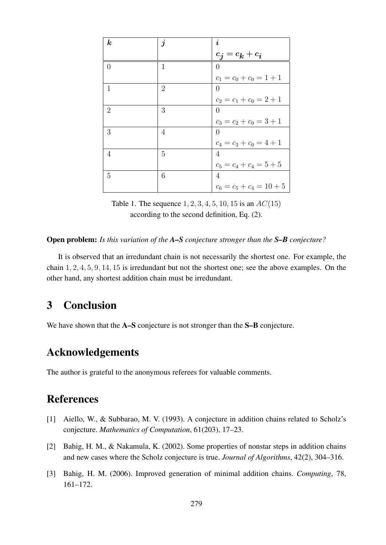| $\boldsymbol{k}$ | $\boldsymbol{j}$ | $\boldsymbol{i}$           |
|------------------|------------------|----------------------------|
|                  |                  | $c_j = c_k + c_i$          |
| $\Omega$         | $\mathbf{1}$     | $\theta$                   |
|                  |                  | $c_1 = c_0 + c_0 = 1 + 1$  |
| 1                | $\overline{2}$   | $\left( \right)$           |
|                  |                  | $c_2 = c_1 + c_0 = 2 + 1$  |
| $\overline{2}$   | 3                | $\left( \right)$           |
|                  |                  | $c_3 = c_2 + c_0 = 3 + 1$  |
| 3                | 4                | 0                          |
|                  |                  | $c_4 = c_3 + c_0 = 4 + 1$  |
| 4                | 5                | $\overline{4}$             |
|                  |                  | $c_5 = c_4 + c_4 = 5 + 5$  |
| 5                | 6                | 4                          |
|                  |                  | $c_6 = c_5 + c_4 = 10 + 5$ |

Table 1. The sequence  $1, 2, 3, 4, 5, 10, 15$  is an  $AC(15)$ according to the second definition, Eq. (2).

Open problem: *Is this variation of the A–S conjecture stronger than the S–B conjecture?*

It is observed that an irredundant chain is not necessarily the shortest one. For example, the chain 1, 2, 4, 5, 9, 14, 15 is irredundant but not the shortest one; see the above examples. On the other hand, any shortest addition chain must be irredundant.

# 3 Conclusion

We have shown that the **A–S** conjecture is not stronger than the **S–B** conjecture.

# Acknowledgements

The author is grateful to the anonymous referees for valuable comments.

### References

- [1] Aiello, W., & Subbarao, M. V. (1993). A conjecture in addition chains related to Scholz's conjecture. *Mathematics of Computation*, 61(203), 17–23.
- [2] Bahig, H. M., & Nakamula, K. (2002). Some properties of nonstar steps in addition chains and new cases where the Scholz conjecture is true. *Journal of Algorithms*, 42(2), 304–316.
- [3] Bahig, H. M. (2006). Improved generation of minimal addition chains. *Computing*, 78, 161–172.